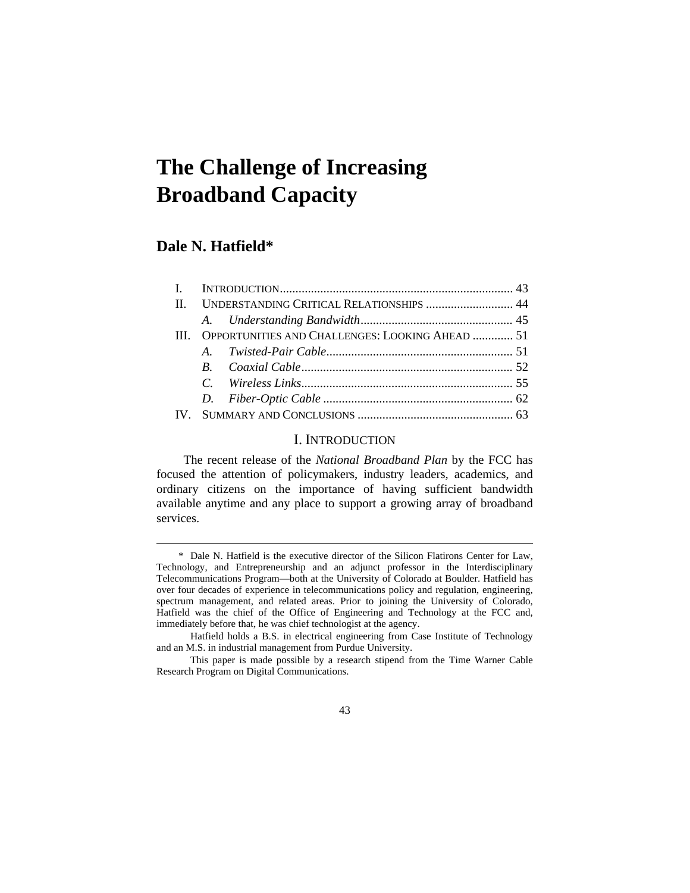# **The Challenge of Increasing Broadband Capacity**

# **Dale N. Hatfield\***

 $\overline{a}$ 

| II. UNDERSTANDING CRITICAL RELATIONSHIPS  44         |  |  |
|------------------------------------------------------|--|--|
|                                                      |  |  |
| III. OPPORTUNITIES AND CHALLENGES: LOOKING AHEAD  51 |  |  |
|                                                      |  |  |
|                                                      |  |  |
|                                                      |  |  |
|                                                      |  |  |
|                                                      |  |  |

## I. INTRODUCTION

The recent release of the *National Broadband Plan* by the FCC has focused the attention of policymakers, industry leaders, academics, and ordinary citizens on the importance of having sufficient bandwidth available anytime and any place to support a growing array of broadband services.

 <sup>\*</sup> Dale N. Hatfield is the executive director of the Silicon Flatirons Center for Law, Technology, and Entrepreneurship and an adjunct professor in the Interdisciplinary Telecommunications Program—both at the University of Colorado at Boulder. Hatfield has over four decades of experience in telecommunications policy and regulation, engineering, spectrum management, and related areas. Prior to joining the University of Colorado, Hatfield was the chief of the Office of Engineering and Technology at the FCC and, immediately before that, he was chief technologist at the agency.

Hatfield holds a B.S. in electrical engineering from Case Institute of Technology and an M.S. in industrial management from Purdue University.

This paper is made possible by a research stipend from the Time Warner Cable Research Program on Digital Communications.

<sup>43</sup>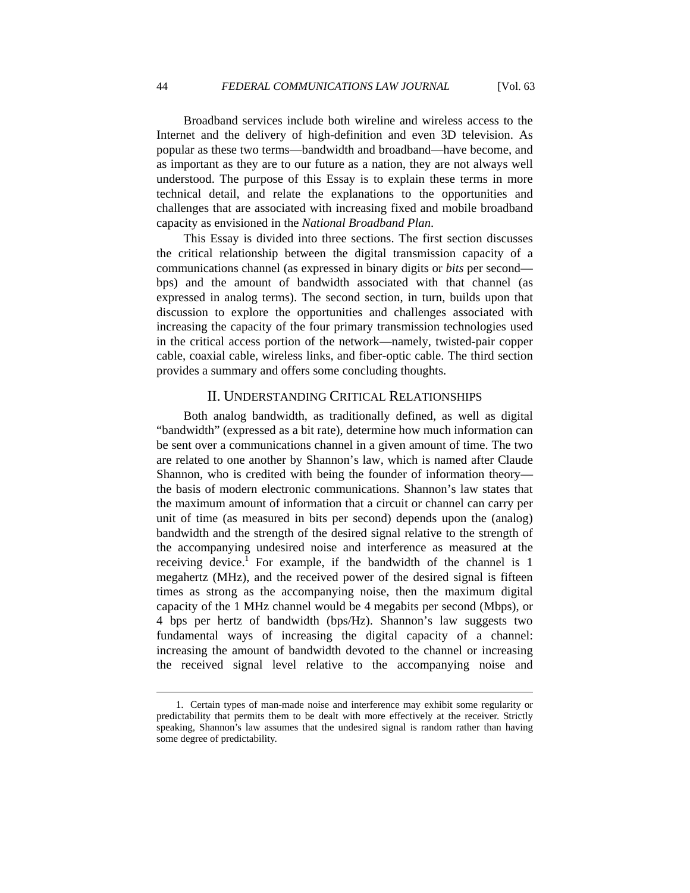Broadband services include both wireline and wireless access to the Internet and the delivery of high-definition and even 3D television. As popular as these two terms—bandwidth and broadband—have become, and as important as they are to our future as a nation, they are not always well understood. The purpose of this Essay is to explain these terms in more technical detail, and relate the explanations to the opportunities and challenges that are associated with increasing fixed and mobile broadband capacity as envisioned in the *National Broadband Plan*.

This Essay is divided into three sections. The first section discusses the critical relationship between the digital transmission capacity of a communications channel (as expressed in binary digits or *bits* per second bps) and the amount of bandwidth associated with that channel (as expressed in analog terms). The second section, in turn, builds upon that discussion to explore the opportunities and challenges associated with increasing the capacity of the four primary transmission technologies used in the critical access portion of the network—namely, twisted-pair copper cable, coaxial cable, wireless links, and fiber-optic cable. The third section provides a summary and offers some concluding thoughts.

## II. UNDERSTANDING CRITICAL RELATIONSHIPS

Both analog bandwidth, as traditionally defined, as well as digital "bandwidth" (expressed as a bit rate), determine how much information can be sent over a communications channel in a given amount of time. The two are related to one another by Shannon's law, which is named after Claude Shannon, who is credited with being the founder of information theory the basis of modern electronic communications. Shannon's law states that the maximum amount of information that a circuit or channel can carry per unit of time (as measured in bits per second) depends upon the (analog) bandwidth and the strength of the desired signal relative to the strength of the accompanying undesired noise and interference as measured at the receiving device.<sup>1</sup> For example, if the bandwidth of the channel is 1 megahertz (MHz), and the received power of the desired signal is fifteen times as strong as the accompanying noise, then the maximum digital capacity of the 1 MHz channel would be 4 megabits per second (Mbps), or 4 bps per hertz of bandwidth (bps/Hz). Shannon's law suggests two fundamental ways of increasing the digital capacity of a channel: increasing the amount of bandwidth devoted to the channel or increasing the received signal level relative to the accompanying noise and

 <sup>1.</sup> Certain types of man-made noise and interference may exhibit some regularity or predictability that permits them to be dealt with more effectively at the receiver. Strictly speaking, Shannon's law assumes that the undesired signal is random rather than having some degree of predictability.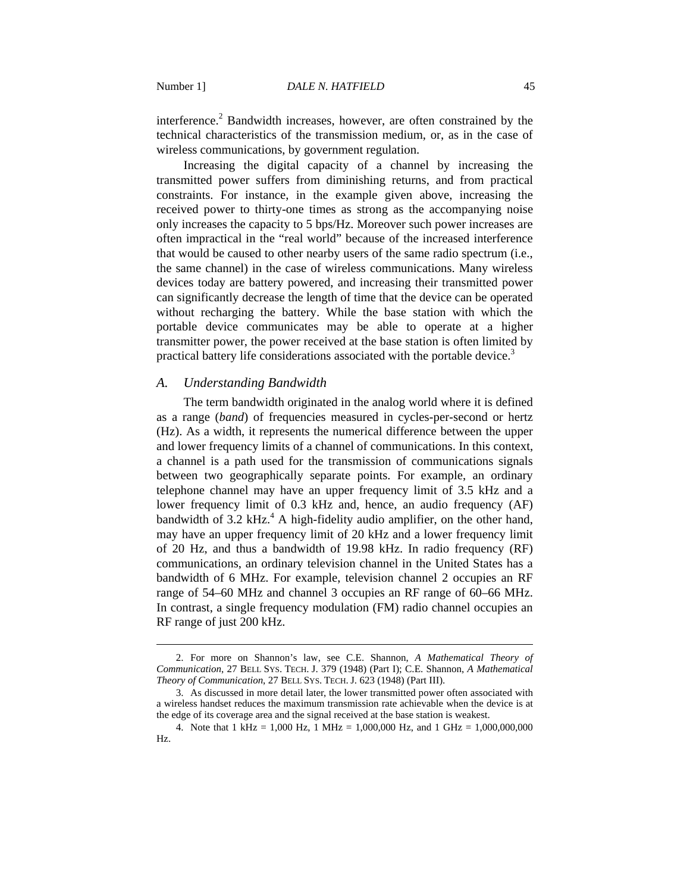interference.<sup>2</sup> Bandwidth increases, however, are often constrained by the technical characteristics of the transmission medium, or, as in the case of wireless communications, by government regulation.

Increasing the digital capacity of a channel by increasing the transmitted power suffers from diminishing returns, and from practical constraints. For instance, in the example given above, increasing the received power to thirty-one times as strong as the accompanying noise only increases the capacity to 5 bps/Hz. Moreover such power increases are often impractical in the "real world" because of the increased interference that would be caused to other nearby users of the same radio spectrum (i.e., the same channel) in the case of wireless communications. Many wireless devices today are battery powered, and increasing their transmitted power can significantly decrease the length of time that the device can be operated without recharging the battery. While the base station with which the portable device communicates may be able to operate at a higher transmitter power, the power received at the base station is often limited by practical battery life considerations associated with the portable device.<sup>3</sup>

#### *A. Understanding Bandwidth*

 $\overline{a}$ 

The term bandwidth originated in the analog world where it is defined as a range (*band*) of frequencies measured in cycles-per-second or hertz (Hz). As a width, it represents the numerical difference between the upper and lower frequency limits of a channel of communications. In this context, a channel is a path used for the transmission of communications signals between two geographically separate points. For example, an ordinary telephone channel may have an upper frequency limit of 3.5 kHz and a lower frequency limit of 0.3 kHz and, hence, an audio frequency (AF) bandwidth of  $3.2$  kHz.<sup>4</sup> A high-fidelity audio amplifier, on the other hand, may have an upper frequency limit of 20 kHz and a lower frequency limit of 20 Hz, and thus a bandwidth of 19.98 kHz. In radio frequency (RF) communications, an ordinary television channel in the United States has a bandwidth of 6 MHz. For example, television channel 2 occupies an RF range of 54–60 MHz and channel 3 occupies an RF range of 60–66 MHz. In contrast, a single frequency modulation (FM) radio channel occupies an RF range of just 200 kHz.

 <sup>2.</sup> For more on Shannon's law, see C.E. Shannon, *A Mathematical Theory of Communication*, 27 BELL SYS. TECH. J. 379 (1948) (Part I); C.E. Shannon, *A Mathematical Theory of Communication*, 27 BELL SYS. TECH. J. 623 (1948) (Part III).

 <sup>3.</sup> As discussed in more detail later, the lower transmitted power often associated with a wireless handset reduces the maximum transmission rate achievable when the device is at the edge of its coverage area and the signal received at the base station is weakest.

<sup>4.</sup> Note that 1 kHz = 1,000 Hz, 1 MHz = 1,000,000 Hz, and 1 GHz = 1,000,000,000 Hz.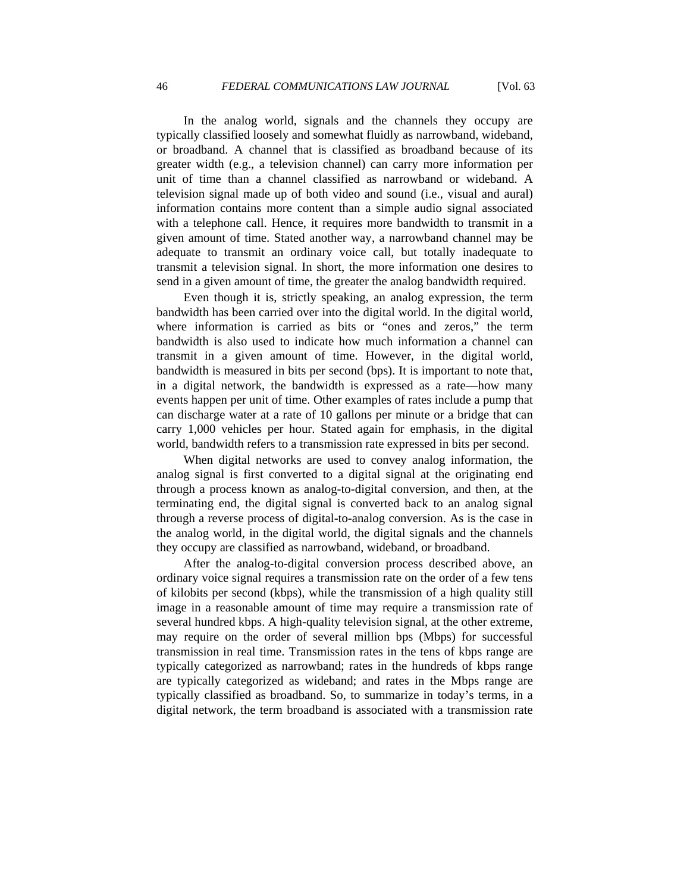In the analog world, signals and the channels they occupy are typically classified loosely and somewhat fluidly as narrowband, wideband, or broadband. A channel that is classified as broadband because of its greater width (e.g., a television channel) can carry more information per unit of time than a channel classified as narrowband or wideband. A television signal made up of both video and sound (i.e., visual and aural) information contains more content than a simple audio signal associated with a telephone call. Hence, it requires more bandwidth to transmit in a given amount of time. Stated another way, a narrowband channel may be adequate to transmit an ordinary voice call, but totally inadequate to transmit a television signal. In short, the more information one desires to send in a given amount of time, the greater the analog bandwidth required.

Even though it is, strictly speaking, an analog expression, the term bandwidth has been carried over into the digital world. In the digital world, where information is carried as bits or "ones and zeros," the term bandwidth is also used to indicate how much information a channel can transmit in a given amount of time. However, in the digital world, bandwidth is measured in bits per second (bps). It is important to note that, in a digital network, the bandwidth is expressed as a rate—how many events happen per unit of time. Other examples of rates include a pump that can discharge water at a rate of 10 gallons per minute or a bridge that can carry 1,000 vehicles per hour. Stated again for emphasis, in the digital world, bandwidth refers to a transmission rate expressed in bits per second.

When digital networks are used to convey analog information, the analog signal is first converted to a digital signal at the originating end through a process known as analog-to-digital conversion, and then, at the terminating end, the digital signal is converted back to an analog signal through a reverse process of digital-to-analog conversion. As is the case in the analog world, in the digital world, the digital signals and the channels they occupy are classified as narrowband, wideband, or broadband.

After the analog-to-digital conversion process described above, an ordinary voice signal requires a transmission rate on the order of a few tens of kilobits per second (kbps), while the transmission of a high quality still image in a reasonable amount of time may require a transmission rate of several hundred kbps. A high-quality television signal, at the other extreme, may require on the order of several million bps (Mbps) for successful transmission in real time. Transmission rates in the tens of kbps range are typically categorized as narrowband; rates in the hundreds of kbps range are typically categorized as wideband; and rates in the Mbps range are typically classified as broadband. So, to summarize in today's terms, in a digital network, the term broadband is associated with a transmission rate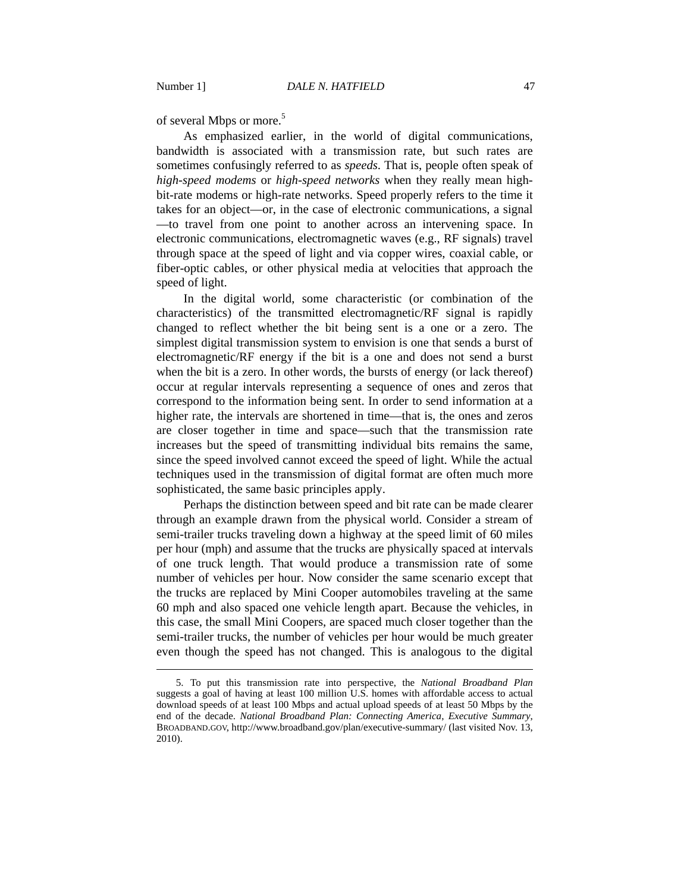of several Mbps or more.<sup>5</sup>

As emphasized earlier, in the world of digital communications, bandwidth is associated with a transmission rate, but such rates are sometimes confusingly referred to as *speeds*. That is, people often speak of *high-speed modems* or *high-speed networks* when they really mean highbit-rate modems or high-rate networks. Speed properly refers to the time it takes for an object—or, in the case of electronic communications, a signal —to travel from one point to another across an intervening space. In electronic communications, electromagnetic waves (e.g., RF signals) travel through space at the speed of light and via copper wires, coaxial cable, or fiber-optic cables, or other physical media at velocities that approach the speed of light.

In the digital world, some characteristic (or combination of the characteristics) of the transmitted electromagnetic/RF signal is rapidly changed to reflect whether the bit being sent is a one or a zero. The simplest digital transmission system to envision is one that sends a burst of electromagnetic/RF energy if the bit is a one and does not send a burst when the bit is a zero. In other words, the bursts of energy (or lack thereof) occur at regular intervals representing a sequence of ones and zeros that correspond to the information being sent. In order to send information at a higher rate, the intervals are shortened in time—that is, the ones and zeros are closer together in time and space—such that the transmission rate increases but the speed of transmitting individual bits remains the same, since the speed involved cannot exceed the speed of light. While the actual techniques used in the transmission of digital format are often much more sophisticated, the same basic principles apply.

Perhaps the distinction between speed and bit rate can be made clearer through an example drawn from the physical world. Consider a stream of semi-trailer trucks traveling down a highway at the speed limit of 60 miles per hour (mph) and assume that the trucks are physically spaced at intervals of one truck length. That would produce a transmission rate of some number of vehicles per hour. Now consider the same scenario except that the trucks are replaced by Mini Cooper automobiles traveling at the same 60 mph and also spaced one vehicle length apart. Because the vehicles, in this case, the small Mini Coopers, are spaced much closer together than the semi-trailer trucks, the number of vehicles per hour would be much greater even though the speed has not changed. This is analogous to the digital

 <sup>5.</sup> To put this transmission rate into perspective, the *National Broadband Plan* suggests a goal of having at least 100 million U.S. homes with affordable access to actual download speeds of at least 100 Mbps and actual upload speeds of at least 50 Mbps by the end of the decade. *National Broadband Plan: Connecting America*, *Executive Summary*, BROADBAND.GOV, http://www.broadband.gov/plan/executive-summary/ (last visited Nov. 13, 2010).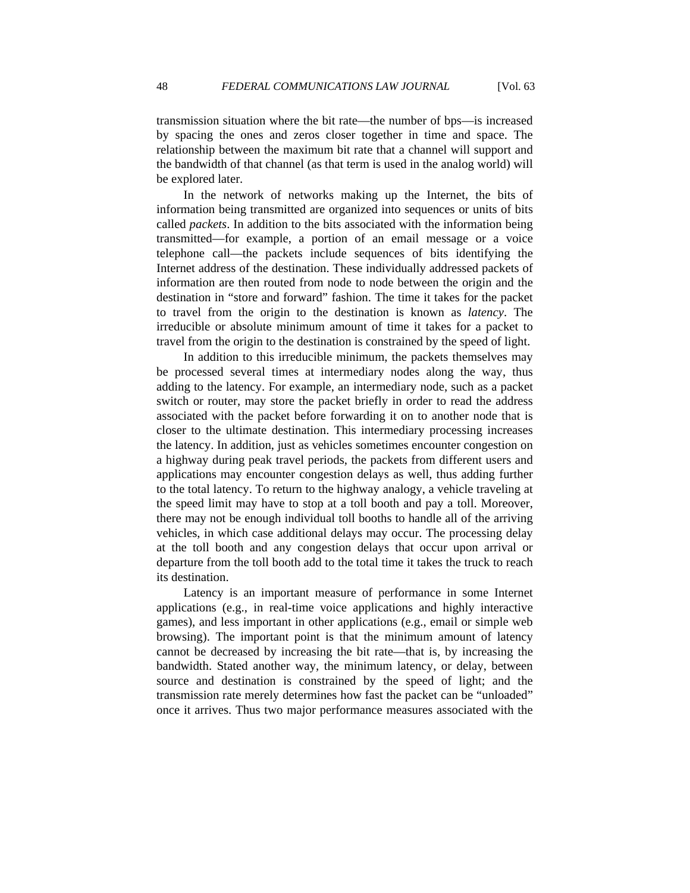transmission situation where the bit rate—the number of bps—is increased by spacing the ones and zeros closer together in time and space. The relationship between the maximum bit rate that a channel will support and the bandwidth of that channel (as that term is used in the analog world) will be explored later.

In the network of networks making up the Internet, the bits of information being transmitted are organized into sequences or units of bits called *packets*. In addition to the bits associated with the information being transmitted—for example, a portion of an email message or a voice telephone call—the packets include sequences of bits identifying the Internet address of the destination. These individually addressed packets of information are then routed from node to node between the origin and the destination in "store and forward" fashion. The time it takes for the packet to travel from the origin to the destination is known as *latency*. The irreducible or absolute minimum amount of time it takes for a packet to travel from the origin to the destination is constrained by the speed of light.

In addition to this irreducible minimum, the packets themselves may be processed several times at intermediary nodes along the way, thus adding to the latency. For example, an intermediary node, such as a packet switch or router, may store the packet briefly in order to read the address associated with the packet before forwarding it on to another node that is closer to the ultimate destination. This intermediary processing increases the latency. In addition, just as vehicles sometimes encounter congestion on a highway during peak travel periods, the packets from different users and applications may encounter congestion delays as well, thus adding further to the total latency. To return to the highway analogy, a vehicle traveling at the speed limit may have to stop at a toll booth and pay a toll. Moreover, there may not be enough individual toll booths to handle all of the arriving vehicles, in which case additional delays may occur. The processing delay at the toll booth and any congestion delays that occur upon arrival or departure from the toll booth add to the total time it takes the truck to reach its destination.

Latency is an important measure of performance in some Internet applications (e.g., in real-time voice applications and highly interactive games), and less important in other applications (e.g., email or simple web browsing). The important point is that the minimum amount of latency cannot be decreased by increasing the bit rate—that is, by increasing the bandwidth. Stated another way, the minimum latency, or delay, between source and destination is constrained by the speed of light; and the transmission rate merely determines how fast the packet can be "unloaded" once it arrives. Thus two major performance measures associated with the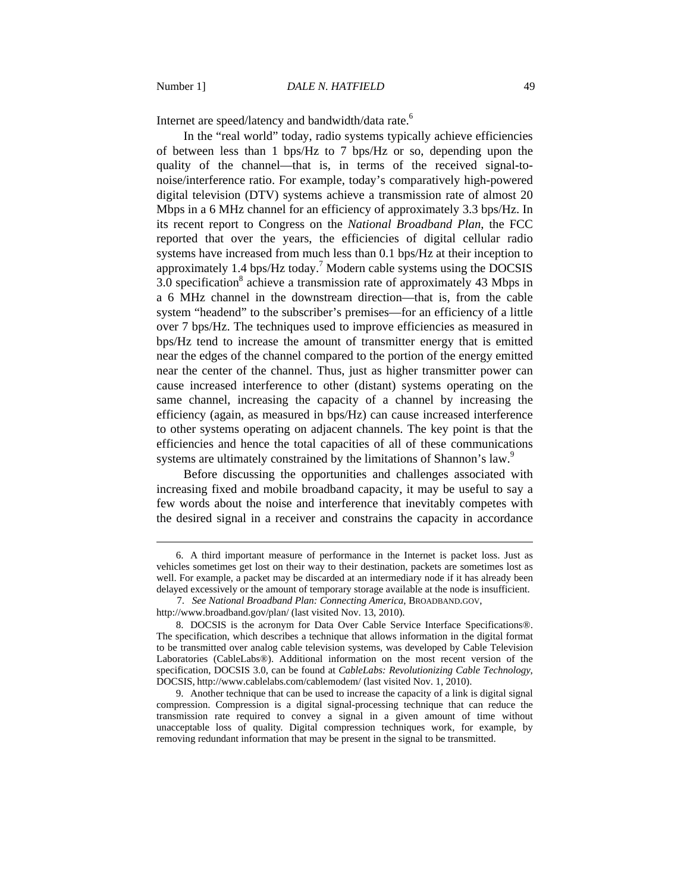Internet are speed/latency and bandwidth/data rate.<sup>6</sup>

In the "real world" today, radio systems typically achieve efficiencies of between less than 1 bps/Hz to 7 bps/Hz or so, depending upon the quality of the channel—that is, in terms of the received signal-tonoise/interference ratio. For example, today's comparatively high-powered digital television (DTV) systems achieve a transmission rate of almost 20 Mbps in a 6 MHz channel for an efficiency of approximately 3.3 bps/Hz. In its recent report to Congress on the *National Broadband Plan*, the FCC reported that over the years, the efficiencies of digital cellular radio systems have increased from much less than 0.1 bps/Hz at their inception to approximately 1.4 bps/Hz today.<sup>7</sup> Modern cable systems using the DOCSIS  $3.0$  specification<sup>8</sup> achieve a transmission rate of approximately 43 Mbps in a 6 MHz channel in the downstream direction—that is, from the cable system "headend" to the subscriber's premises—for an efficiency of a little over 7 bps/Hz. The techniques used to improve efficiencies as measured in bps/Hz tend to increase the amount of transmitter energy that is emitted near the edges of the channel compared to the portion of the energy emitted near the center of the channel. Thus, just as higher transmitter power can cause increased interference to other (distant) systems operating on the same channel, increasing the capacity of a channel by increasing the efficiency (again, as measured in bps/Hz) can cause increased interference to other systems operating on adjacent channels. The key point is that the efficiencies and hence the total capacities of all of these communications systems are ultimately constrained by the limitations of Shannon's law.<sup>9</sup>

Before discussing the opportunities and challenges associated with increasing fixed and mobile broadband capacity, it may be useful to say a few words about the noise and interference that inevitably competes with the desired signal in a receiver and constrains the capacity in accordance

 <sup>6.</sup> A third important measure of performance in the Internet is packet loss. Just as vehicles sometimes get lost on their way to their destination, packets are sometimes lost as well. For example, a packet may be discarded at an intermediary node if it has already been delayed excessively or the amount of temporary storage available at the node is insufficient.

 <sup>7.</sup> *See National Broadband Plan: Connecting America*, BROADBAND.GOV, http://www.broadband.gov/plan/ (last visited Nov. 13, 2010).

 <sup>8.</sup> DOCSIS is the acronym for Data Over Cable Service Interface Specifications®. The specification, which describes a technique that allows information in the digital format to be transmitted over analog cable television systems, was developed by Cable Television Laboratories (CableLabs®). Additional information on the most recent version of the specification, DOCSIS 3.0, can be found at *CableLabs: Revolutionizing Cable Technology*, DOCSIS, http://www.cablelabs.com/cablemodem/ (last visited Nov. 1, 2010).

<sup>9.</sup> Another technique that can be used to increase the capacity of a link is digital signal compression. Compression is a digital signal-processing technique that can reduce the transmission rate required to convey a signal in a given amount of time without unacceptable loss of quality. Digital compression techniques work, for example, by removing redundant information that may be present in the signal to be transmitted.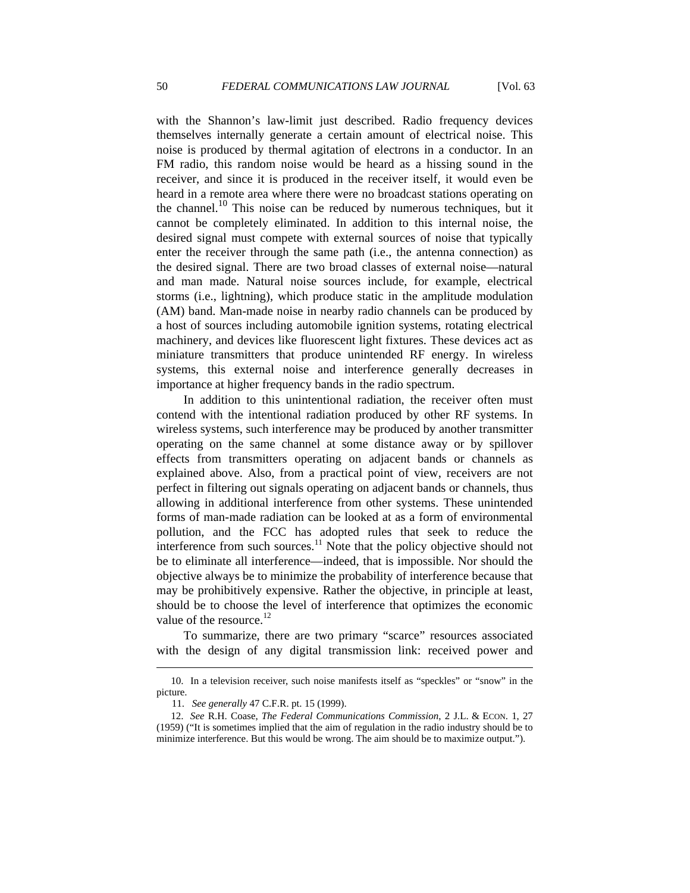with the Shannon's law-limit just described. Radio frequency devices themselves internally generate a certain amount of electrical noise. This noise is produced by thermal agitation of electrons in a conductor. In an FM radio, this random noise would be heard as a hissing sound in the receiver, and since it is produced in the receiver itself, it would even be heard in a remote area where there were no broadcast stations operating on the channel.<sup>10</sup> This noise can be reduced by numerous techniques, but it cannot be completely eliminated. In addition to this internal noise, the desired signal must compete with external sources of noise that typically enter the receiver through the same path (i.e., the antenna connection) as the desired signal. There are two broad classes of external noise—natural and man made. Natural noise sources include, for example, electrical storms (i.e., lightning), which produce static in the amplitude modulation (AM) band. Man-made noise in nearby radio channels can be produced by a host of sources including automobile ignition systems, rotating electrical machinery, and devices like fluorescent light fixtures. These devices act as miniature transmitters that produce unintended RF energy. In wireless systems, this external noise and interference generally decreases in importance at higher frequency bands in the radio spectrum.

In addition to this unintentional radiation, the receiver often must contend with the intentional radiation produced by other RF systems. In wireless systems, such interference may be produced by another transmitter operating on the same channel at some distance away or by spillover effects from transmitters operating on adjacent bands or channels as explained above. Also, from a practical point of view, receivers are not perfect in filtering out signals operating on adjacent bands or channels, thus allowing in additional interference from other systems. These unintended forms of man-made radiation can be looked at as a form of environmental pollution, and the FCC has adopted rules that seek to reduce the interference from such sources. $<sup>11</sup>$  Note that the policy objective should not</sup> be to eliminate all interference—indeed, that is impossible. Nor should the objective always be to minimize the probability of interference because that may be prohibitively expensive. Rather the objective, in principle at least, should be to choose the level of interference that optimizes the economic value of the resource. $^{12}$ 

To summarize, there are two primary "scarce" resources associated with the design of any digital transmission link: received power and

 <sup>10.</sup> In a television receiver, such noise manifests itself as "speckles" or "snow" in the picture.

<sup>11.</sup> *See generally* 47 C.F.R. pt. 15 (1999).

 <sup>12.</sup> *See* R.H. Coase, *The Federal Communications Commission*, 2 J.L. & ECON. 1, 27 (1959) ("It is sometimes implied that the aim of regulation in the radio industry should be to minimize interference. But this would be wrong. The aim should be to maximize output.").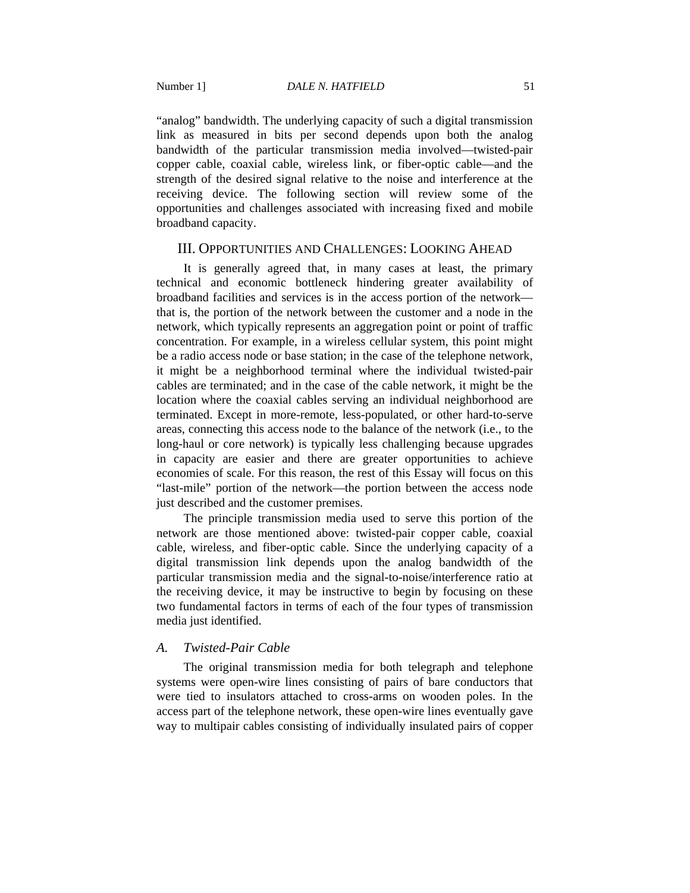"analog" bandwidth. The underlying capacity of such a digital transmission link as measured in bits per second depends upon both the analog bandwidth of the particular transmission media involved—twisted-pair copper cable, coaxial cable, wireless link, or fiber-optic cable—and the strength of the desired signal relative to the noise and interference at the receiving device. The following section will review some of the opportunities and challenges associated with increasing fixed and mobile broadband capacity.

## III. OPPORTUNITIES AND CHALLENGES: LOOKING AHEAD

It is generally agreed that, in many cases at least, the primary technical and economic bottleneck hindering greater availability of broadband facilities and services is in the access portion of the network that is, the portion of the network between the customer and a node in the network, which typically represents an aggregation point or point of traffic concentration. For example, in a wireless cellular system, this point might be a radio access node or base station; in the case of the telephone network, it might be a neighborhood terminal where the individual twisted-pair cables are terminated; and in the case of the cable network, it might be the location where the coaxial cables serving an individual neighborhood are terminated. Except in more-remote, less-populated, or other hard-to-serve areas, connecting this access node to the balance of the network (i.e., to the long-haul or core network) is typically less challenging because upgrades in capacity are easier and there are greater opportunities to achieve economies of scale. For this reason, the rest of this Essay will focus on this "last-mile" portion of the network—the portion between the access node just described and the customer premises.

The principle transmission media used to serve this portion of the network are those mentioned above: twisted-pair copper cable, coaxial cable, wireless, and fiber-optic cable. Since the underlying capacity of a digital transmission link depends upon the analog bandwidth of the particular transmission media and the signal-to-noise/interference ratio at the receiving device, it may be instructive to begin by focusing on these two fundamental factors in terms of each of the four types of transmission media just identified.

#### *A. Twisted-Pair Cable*

The original transmission media for both telegraph and telephone systems were open-wire lines consisting of pairs of bare conductors that were tied to insulators attached to cross-arms on wooden poles. In the access part of the telephone network, these open-wire lines eventually gave way to multipair cables consisting of individually insulated pairs of copper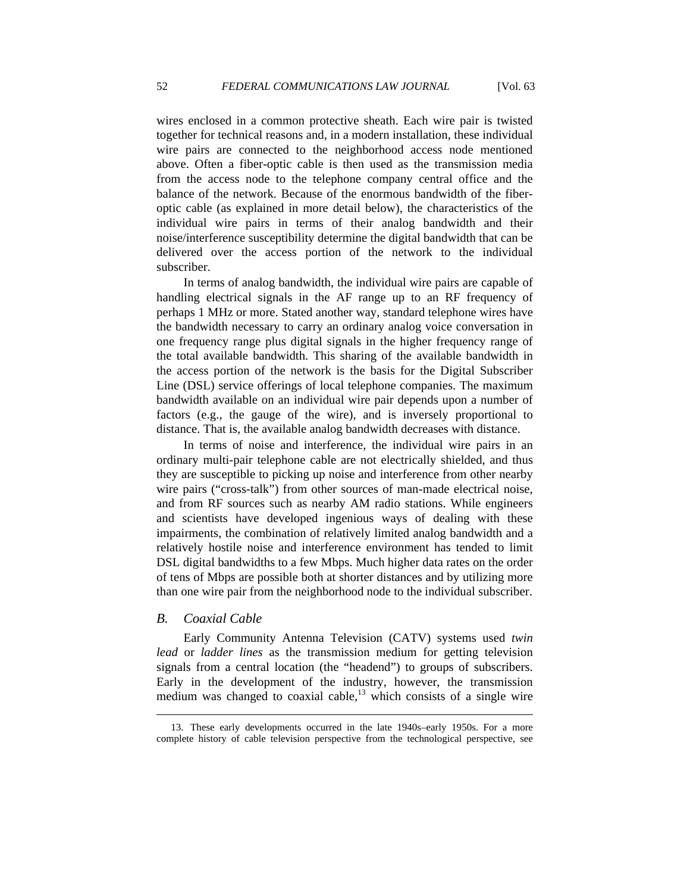wires enclosed in a common protective sheath. Each wire pair is twisted together for technical reasons and, in a modern installation, these individual wire pairs are connected to the neighborhood access node mentioned above. Often a fiber-optic cable is then used as the transmission media from the access node to the telephone company central office and the balance of the network. Because of the enormous bandwidth of the fiberoptic cable (as explained in more detail below), the characteristics of the individual wire pairs in terms of their analog bandwidth and their noise/interference susceptibility determine the digital bandwidth that can be delivered over the access portion of the network to the individual subscriber.

In terms of analog bandwidth, the individual wire pairs are capable of handling electrical signals in the AF range up to an RF frequency of perhaps 1 MHz or more. Stated another way, standard telephone wires have the bandwidth necessary to carry an ordinary analog voice conversation in one frequency range plus digital signals in the higher frequency range of the total available bandwidth. This sharing of the available bandwidth in the access portion of the network is the basis for the Digital Subscriber Line (DSL) service offerings of local telephone companies. The maximum bandwidth available on an individual wire pair depends upon a number of factors (e.g., the gauge of the wire), and is inversely proportional to distance. That is, the available analog bandwidth decreases with distance.

In terms of noise and interference, the individual wire pairs in an ordinary multi-pair telephone cable are not electrically shielded, and thus they are susceptible to picking up noise and interference from other nearby wire pairs ("cross-talk") from other sources of man-made electrical noise, and from RF sources such as nearby AM radio stations. While engineers and scientists have developed ingenious ways of dealing with these impairments, the combination of relatively limited analog bandwidth and a relatively hostile noise and interference environment has tended to limit DSL digital bandwidths to a few Mbps. Much higher data rates on the order of tens of Mbps are possible both at shorter distances and by utilizing more than one wire pair from the neighborhood node to the individual subscriber.

#### *B. Coaxial Cable*

 $\overline{a}$ 

Early Community Antenna Television (CATV) systems used *twin lead* or *ladder lines* as the transmission medium for getting television signals from a central location (the "headend") to groups of subscribers. Early in the development of the industry, however, the transmission medium was changed to coaxial cable, $13$  which consists of a single wire

 <sup>13.</sup> These early developments occurred in the late 1940s–early 1950s. For a more complete history of cable television perspective from the technological perspective, see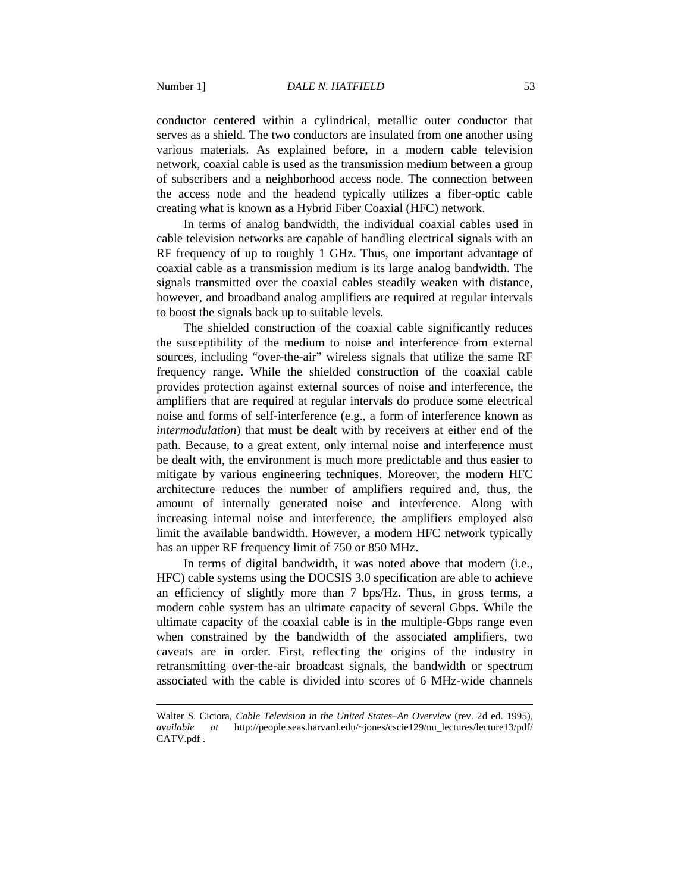conductor centered within a cylindrical, metallic outer conductor that serves as a shield. The two conductors are insulated from one another using various materials. As explained before, in a modern cable television network, coaxial cable is used as the transmission medium between a group of subscribers and a neighborhood access node. The connection between the access node and the headend typically utilizes a fiber-optic cable creating what is known as a Hybrid Fiber Coaxial (HFC) network.

In terms of analog bandwidth, the individual coaxial cables used in cable television networks are capable of handling electrical signals with an RF frequency of up to roughly 1 GHz. Thus, one important advantage of coaxial cable as a transmission medium is its large analog bandwidth. The signals transmitted over the coaxial cables steadily weaken with distance, however, and broadband analog amplifiers are required at regular intervals to boost the signals back up to suitable levels.

The shielded construction of the coaxial cable significantly reduces the susceptibility of the medium to noise and interference from external sources, including "over-the-air" wireless signals that utilize the same RF frequency range. While the shielded construction of the coaxial cable provides protection against external sources of noise and interference, the amplifiers that are required at regular intervals do produce some electrical noise and forms of self-interference (e.g., a form of interference known as *intermodulation*) that must be dealt with by receivers at either end of the path. Because, to a great extent, only internal noise and interference must be dealt with, the environment is much more predictable and thus easier to mitigate by various engineering techniques. Moreover, the modern HFC architecture reduces the number of amplifiers required and, thus, the amount of internally generated noise and interference. Along with increasing internal noise and interference, the amplifiers employed also limit the available bandwidth. However, a modern HFC network typically has an upper RF frequency limit of 750 or 850 MHz.

In terms of digital bandwidth, it was noted above that modern (i.e., HFC) cable systems using the DOCSIS 3.0 specification are able to achieve an efficiency of slightly more than 7 bps/Hz. Thus, in gross terms, a modern cable system has an ultimate capacity of several Gbps. While the ultimate capacity of the coaxial cable is in the multiple-Gbps range even when constrained by the bandwidth of the associated amplifiers, two caveats are in order. First, reflecting the origins of the industry in retransmitting over-the-air broadcast signals, the bandwidth or spectrum associated with the cable is divided into scores of 6 MHz-wide channels

Walter S. Ciciora, *Cable Television in the United States–An Overview* (rev. 2d ed. 1995), *available at* http://people.seas.harvard.edu/~jones/cscie129/nu\_lectures/lecture13/pdf/ CATV.pdf .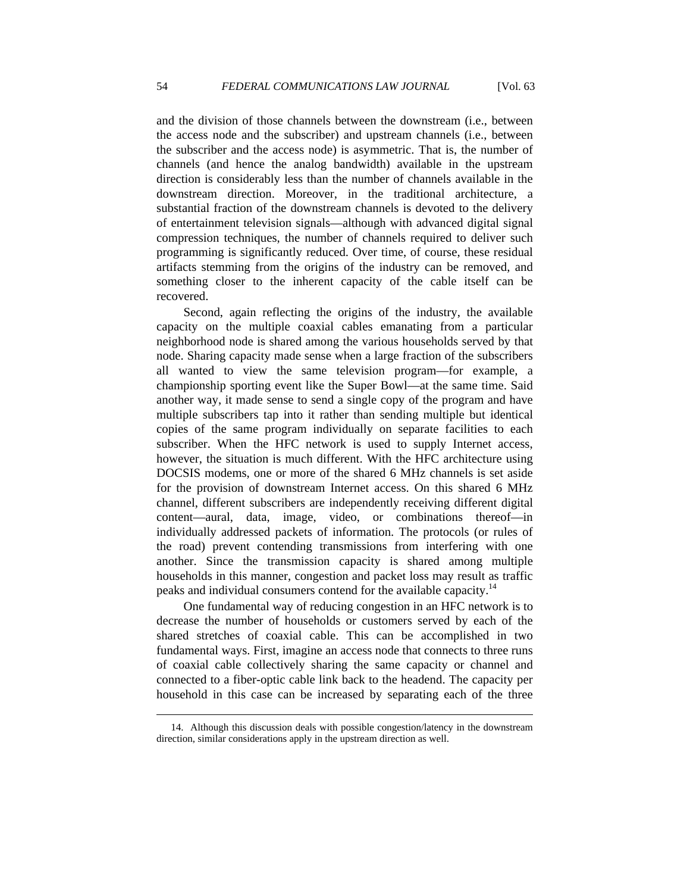and the division of those channels between the downstream (i.e., between the access node and the subscriber) and upstream channels (i.e., between the subscriber and the access node) is asymmetric. That is, the number of channels (and hence the analog bandwidth) available in the upstream direction is considerably less than the number of channels available in the downstream direction. Moreover, in the traditional architecture, a substantial fraction of the downstream channels is devoted to the delivery of entertainment television signals—although with advanced digital signal compression techniques, the number of channels required to deliver such programming is significantly reduced. Over time, of course, these residual artifacts stemming from the origins of the industry can be removed, and something closer to the inherent capacity of the cable itself can be recovered.

Second, again reflecting the origins of the industry, the available capacity on the multiple coaxial cables emanating from a particular neighborhood node is shared among the various households served by that node. Sharing capacity made sense when a large fraction of the subscribers all wanted to view the same television program—for example, a championship sporting event like the Super Bowl—at the same time. Said another way, it made sense to send a single copy of the program and have multiple subscribers tap into it rather than sending multiple but identical copies of the same program individually on separate facilities to each subscriber. When the HFC network is used to supply Internet access, however, the situation is much different. With the HFC architecture using DOCSIS modems, one or more of the shared 6 MHz channels is set aside for the provision of downstream Internet access. On this shared 6 MHz channel, different subscribers are independently receiving different digital content—aural, data, image, video, or combinations thereof—in individually addressed packets of information. The protocols (or rules of the road) prevent contending transmissions from interfering with one another. Since the transmission capacity is shared among multiple households in this manner, congestion and packet loss may result as traffic peaks and individual consumers contend for the available capacity.<sup>14</sup>

One fundamental way of reducing congestion in an HFC network is to decrease the number of households or customers served by each of the shared stretches of coaxial cable. This can be accomplished in two fundamental ways. First, imagine an access node that connects to three runs of coaxial cable collectively sharing the same capacity or channel and connected to a fiber-optic cable link back to the headend. The capacity per household in this case can be increased by separating each of the three

 <sup>14.</sup> Although this discussion deals with possible congestion/latency in the downstream direction, similar considerations apply in the upstream direction as well.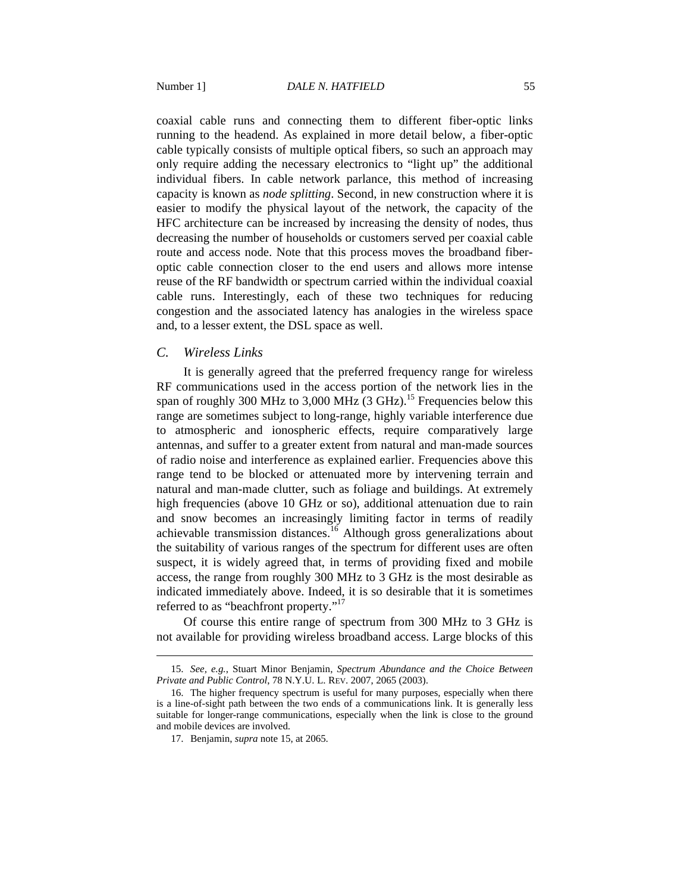coaxial cable runs and connecting them to different fiber-optic links running to the headend. As explained in more detail below, a fiber-optic cable typically consists of multiple optical fibers, so such an approach may only require adding the necessary electronics to "light up" the additional individual fibers. In cable network parlance, this method of increasing capacity is known as *node splitting*. Second, in new construction where it is easier to modify the physical layout of the network, the capacity of the HFC architecture can be increased by increasing the density of nodes, thus decreasing the number of households or customers served per coaxial cable route and access node. Note that this process moves the broadband fiberoptic cable connection closer to the end users and allows more intense reuse of the RF bandwidth or spectrum carried within the individual coaxial cable runs. Interestingly, each of these two techniques for reducing congestion and the associated latency has analogies in the wireless space and, to a lesser extent, the DSL space as well.

### *C. Wireless Links*

It is generally agreed that the preferred frequency range for wireless RF communications used in the access portion of the network lies in the span of roughly 300 MHz to 3,000 MHz  $(3 \text{ GHz})$ .<sup>15</sup> Frequencies below this range are sometimes subject to long-range, highly variable interference due to atmospheric and ionospheric effects, require comparatively large antennas, and suffer to a greater extent from natural and man-made sources of radio noise and interference as explained earlier. Frequencies above this range tend to be blocked or attenuated more by intervening terrain and natural and man-made clutter, such as foliage and buildings. At extremely high frequencies (above 10 GHz or so), additional attenuation due to rain and snow becomes an increasingly limiting factor in terms of readily achievable transmission distances.<sup>16</sup> Although gross generalizations about the suitability of various ranges of the spectrum for different uses are often suspect, it is widely agreed that, in terms of providing fixed and mobile access, the range from roughly 300 MHz to 3 GHz is the most desirable as indicated immediately above. Indeed, it is so desirable that it is sometimes referred to as "beachfront property."<sup>17</sup>

Of course this entire range of spectrum from 300 MHz to 3 GHz is not available for providing wireless broadband access. Large blocks of this

 <sup>15.</sup> *See, e.g.*, Stuart Minor Benjamin, *Spectrum Abundance and the Choice Between Private and Public Control*, 78 N.Y.U. L. REV. 2007, 2065 (2003).

 <sup>16.</sup> The higher frequency spectrum is useful for many purposes, especially when there is a line-of-sight path between the two ends of a communications link. It is generally less suitable for longer-range communications, especially when the link is close to the ground and mobile devices are involved.

 <sup>17.</sup> Benjamin, *supra* note 15, at 2065.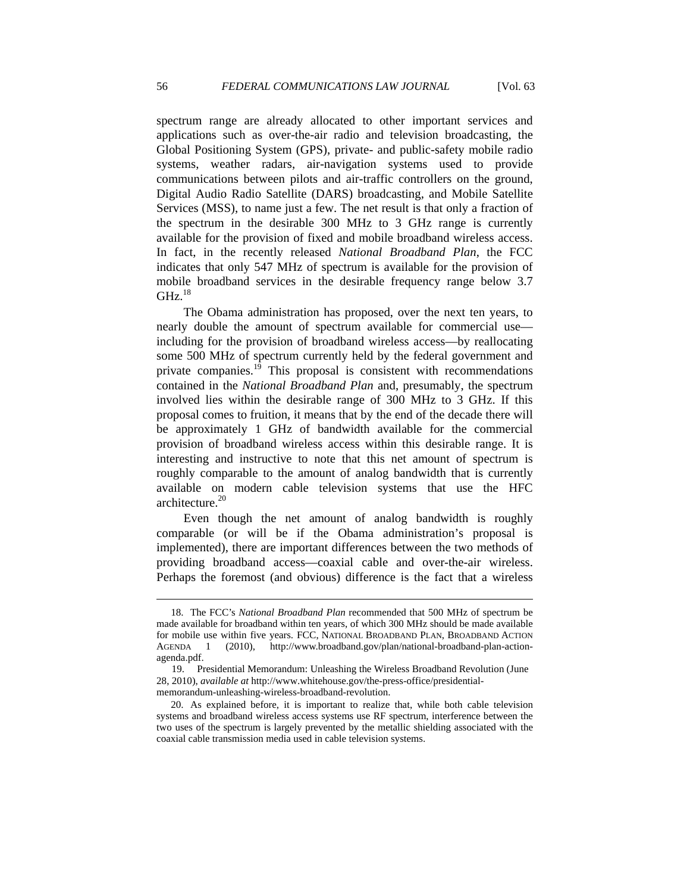spectrum range are already allocated to other important services and applications such as over-the-air radio and television broadcasting, the Global Positioning System (GPS), private- and public-safety mobile radio systems, weather radars, air-navigation systems used to provide communications between pilots and air-traffic controllers on the ground, Digital Audio Radio Satellite (DARS) broadcasting, and Mobile Satellite Services (MSS), to name just a few. The net result is that only a fraction of the spectrum in the desirable 300 MHz to 3 GHz range is currently available for the provision of fixed and mobile broadband wireless access. In fact, in the recently released *National Broadband Plan*, the FCC indicates that only 547 MHz of spectrum is available for the provision of mobile broadband services in the desirable frequency range below 3.7  $GHz^{18}$ 

The Obama administration has proposed, over the next ten years, to nearly double the amount of spectrum available for commercial use including for the provision of broadband wireless access—by reallocating some 500 MHz of spectrum currently held by the federal government and private companies. $19$  This proposal is consistent with recommendations contained in the *National Broadband Plan* and, presumably, the spectrum involved lies within the desirable range of 300 MHz to 3 GHz. If this proposal comes to fruition, it means that by the end of the decade there will be approximately 1 GHz of bandwidth available for the commercial provision of broadband wireless access within this desirable range. It is interesting and instructive to note that this net amount of spectrum is roughly comparable to the amount of analog bandwidth that is currently available on modern cable television systems that use the HFC architecture.<sup>20</sup>

Even though the net amount of analog bandwidth is roughly comparable (or will be if the Obama administration's proposal is implemented), there are important differences between the two methods of providing broadband access—coaxial cable and over-the-air wireless. Perhaps the foremost (and obvious) difference is the fact that a wireless

 <sup>18.</sup> The FCC's *National Broadband Plan* recommended that 500 MHz of spectrum be made available for broadband within ten years, of which 300 MHz should be made available for mobile use within five years. FCC, NATIONAL BROADBAND PLAN, BROADBAND ACTION AGENDA 1 (2010), http://www.broadband.gov/plan/national-broadband-plan-actionagenda.pdf.

 <sup>19.</sup> Presidential Memorandum: Unleashing the Wireless Broadband Revolution (June 28, 2010), *available at* http://www.whitehouse.gov/the-press-office/presidentialmemorandum-unleashing-wireless-broadband-revolution.

 <sup>20.</sup> As explained before, it is important to realize that, while both cable television systems and broadband wireless access systems use RF spectrum, interference between the two uses of the spectrum is largely prevented by the metallic shielding associated with the coaxial cable transmission media used in cable television systems.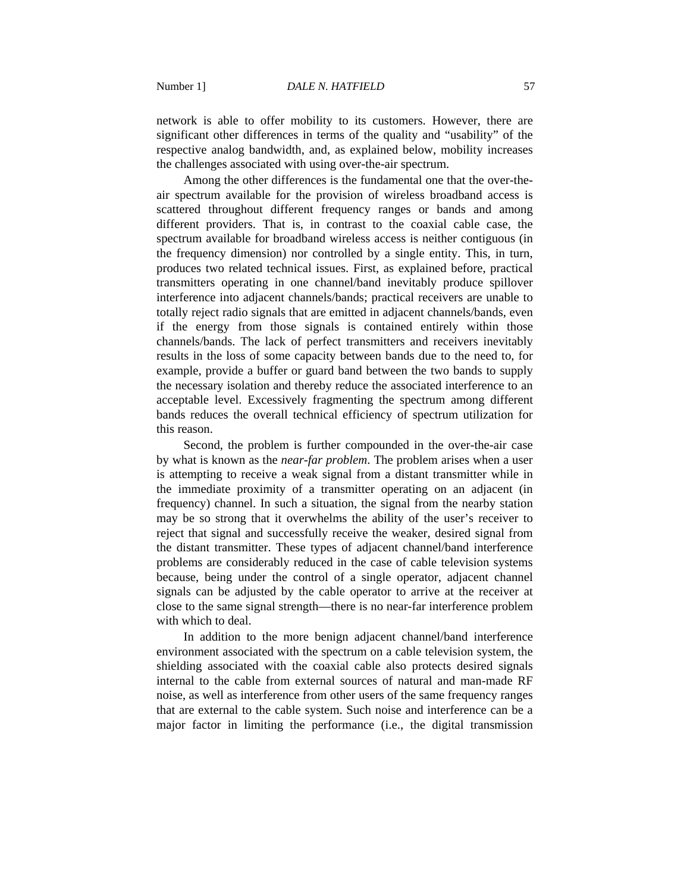network is able to offer mobility to its customers. However, there are significant other differences in terms of the quality and "usability" of the respective analog bandwidth, and, as explained below, mobility increases the challenges associated with using over-the-air spectrum.

Among the other differences is the fundamental one that the over-theair spectrum available for the provision of wireless broadband access is scattered throughout different frequency ranges or bands and among different providers. That is, in contrast to the coaxial cable case, the spectrum available for broadband wireless access is neither contiguous (in the frequency dimension) nor controlled by a single entity. This, in turn, produces two related technical issues. First, as explained before, practical transmitters operating in one channel/band inevitably produce spillover interference into adjacent channels/bands; practical receivers are unable to totally reject radio signals that are emitted in adjacent channels/bands, even if the energy from those signals is contained entirely within those channels/bands. The lack of perfect transmitters and receivers inevitably results in the loss of some capacity between bands due to the need to, for example, provide a buffer or guard band between the two bands to supply the necessary isolation and thereby reduce the associated interference to an acceptable level. Excessively fragmenting the spectrum among different bands reduces the overall technical efficiency of spectrum utilization for this reason.

Second, the problem is further compounded in the over-the-air case by what is known as the *near-far problem*. The problem arises when a user is attempting to receive a weak signal from a distant transmitter while in the immediate proximity of a transmitter operating on an adjacent (in frequency) channel. In such a situation, the signal from the nearby station may be so strong that it overwhelms the ability of the user's receiver to reject that signal and successfully receive the weaker, desired signal from the distant transmitter. These types of adjacent channel/band interference problems are considerably reduced in the case of cable television systems because, being under the control of a single operator, adjacent channel signals can be adjusted by the cable operator to arrive at the receiver at close to the same signal strength—there is no near-far interference problem with which to deal.

In addition to the more benign adjacent channel/band interference environment associated with the spectrum on a cable television system, the shielding associated with the coaxial cable also protects desired signals internal to the cable from external sources of natural and man-made RF noise, as well as interference from other users of the same frequency ranges that are external to the cable system. Such noise and interference can be a major factor in limiting the performance (i.e., the digital transmission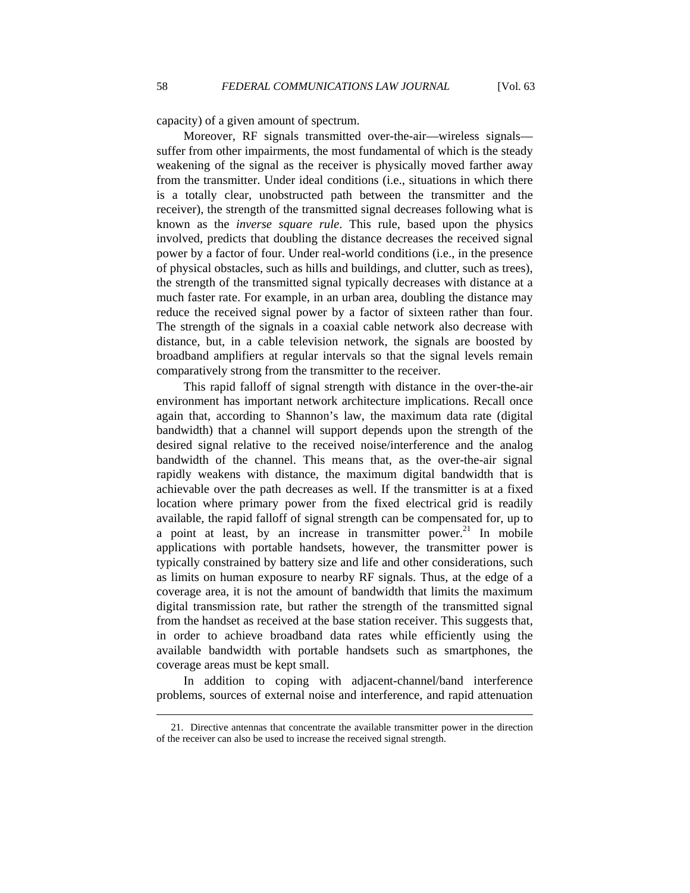capacity) of a given amount of spectrum.

Moreover, RF signals transmitted over-the-air—wireless signals suffer from other impairments, the most fundamental of which is the steady weakening of the signal as the receiver is physically moved farther away from the transmitter. Under ideal conditions (i.e., situations in which there is a totally clear, unobstructed path between the transmitter and the receiver), the strength of the transmitted signal decreases following what is known as the *inverse square rule*. This rule, based upon the physics involved, predicts that doubling the distance decreases the received signal power by a factor of four. Under real-world conditions (i.e., in the presence of physical obstacles, such as hills and buildings, and clutter, such as trees), the strength of the transmitted signal typically decreases with distance at a much faster rate. For example, in an urban area, doubling the distance may reduce the received signal power by a factor of sixteen rather than four. The strength of the signals in a coaxial cable network also decrease with distance, but, in a cable television network, the signals are boosted by broadband amplifiers at regular intervals so that the signal levels remain comparatively strong from the transmitter to the receiver.

This rapid falloff of signal strength with distance in the over-the-air environment has important network architecture implications. Recall once again that, according to Shannon's law, the maximum data rate (digital bandwidth) that a channel will support depends upon the strength of the desired signal relative to the received noise/interference and the analog bandwidth of the channel. This means that, as the over-the-air signal rapidly weakens with distance, the maximum digital bandwidth that is achievable over the path decreases as well. If the transmitter is at a fixed location where primary power from the fixed electrical grid is readily available, the rapid falloff of signal strength can be compensated for, up to a point at least, by an increase in transmitter power.<sup>21</sup> In mobile applications with portable handsets, however, the transmitter power is typically constrained by battery size and life and other considerations, such as limits on human exposure to nearby RF signals. Thus, at the edge of a coverage area, it is not the amount of bandwidth that limits the maximum digital transmission rate, but rather the strength of the transmitted signal from the handset as received at the base station receiver. This suggests that, in order to achieve broadband data rates while efficiently using the available bandwidth with portable handsets such as smartphones, the coverage areas must be kept small.

In addition to coping with adjacent-channel/band interference problems, sources of external noise and interference, and rapid attenuation

 <sup>21.</sup> Directive antennas that concentrate the available transmitter power in the direction of the receiver can also be used to increase the received signal strength.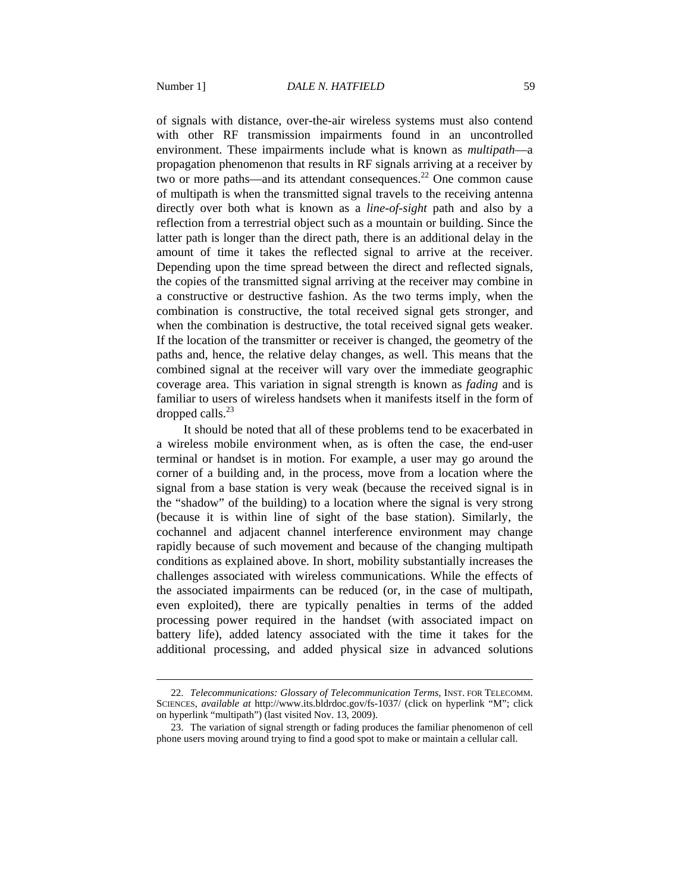of signals with distance, over-the-air wireless systems must also contend with other RF transmission impairments found in an uncontrolled environment. These impairments include what is known as *multipath*—a propagation phenomenon that results in RF signals arriving at a receiver by two or more paths—and its attendant consequences. $^{22}$  One common cause of multipath is when the transmitted signal travels to the receiving antenna directly over both what is known as a *line-of-sight* path and also by a reflection from a terrestrial object such as a mountain or building. Since the latter path is longer than the direct path, there is an additional delay in the amount of time it takes the reflected signal to arrive at the receiver. Depending upon the time spread between the direct and reflected signals, the copies of the transmitted signal arriving at the receiver may combine in a constructive or destructive fashion. As the two terms imply, when the combination is constructive, the total received signal gets stronger, and when the combination is destructive, the total received signal gets weaker. If the location of the transmitter or receiver is changed, the geometry of the paths and, hence, the relative delay changes, as well. This means that the combined signal at the receiver will vary over the immediate geographic coverage area. This variation in signal strength is known as *fading* and is familiar to users of wireless handsets when it manifests itself in the form of dropped calls. $^{23}$ 

It should be noted that all of these problems tend to be exacerbated in a wireless mobile environment when, as is often the case, the end-user terminal or handset is in motion. For example, a user may go around the corner of a building and, in the process, move from a location where the signal from a base station is very weak (because the received signal is in the "shadow" of the building) to a location where the signal is very strong (because it is within line of sight of the base station). Similarly, the cochannel and adjacent channel interference environment may change rapidly because of such movement and because of the changing multipath conditions as explained above. In short, mobility substantially increases the challenges associated with wireless communications. While the effects of the associated impairments can be reduced (or, in the case of multipath, even exploited), there are typically penalties in terms of the added processing power required in the handset (with associated impact on battery life), added latency associated with the time it takes for the additional processing, and added physical size in advanced solutions

 <sup>22.</sup> *Telecommunications: Glossary of Telecommunication Terms*, INST. FOR TELECOMM. SCIENCES, *available at* http://www.its.bldrdoc.gov/fs-1037/ (click on hyperlink "M"; click on hyperlink "multipath") (last visited Nov. 13, 2009).

 <sup>23.</sup> The variation of signal strength or fading produces the familiar phenomenon of cell phone users moving around trying to find a good spot to make or maintain a cellular call.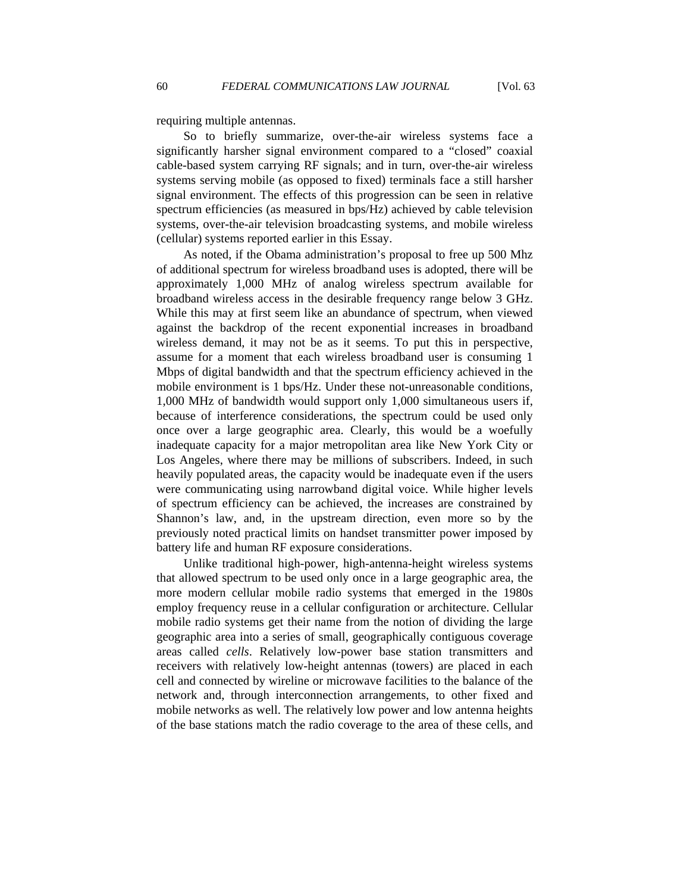requiring multiple antennas.

So to briefly summarize, over-the-air wireless systems face a significantly harsher signal environment compared to a "closed" coaxial cable-based system carrying RF signals; and in turn, over-the-air wireless systems serving mobile (as opposed to fixed) terminals face a still harsher signal environment. The effects of this progression can be seen in relative spectrum efficiencies (as measured in bps/Hz) achieved by cable television systems, over-the-air television broadcasting systems, and mobile wireless (cellular) systems reported earlier in this Essay.

As noted, if the Obama administration's proposal to free up 500 Mhz of additional spectrum for wireless broadband uses is adopted, there will be approximately 1,000 MHz of analog wireless spectrum available for broadband wireless access in the desirable frequency range below 3 GHz. While this may at first seem like an abundance of spectrum, when viewed against the backdrop of the recent exponential increases in broadband wireless demand, it may not be as it seems. To put this in perspective, assume for a moment that each wireless broadband user is consuming 1 Mbps of digital bandwidth and that the spectrum efficiency achieved in the mobile environment is 1 bps/Hz. Under these not-unreasonable conditions, 1,000 MHz of bandwidth would support only 1,000 simultaneous users if, because of interference considerations, the spectrum could be used only once over a large geographic area. Clearly, this would be a woefully inadequate capacity for a major metropolitan area like New York City or Los Angeles, where there may be millions of subscribers. Indeed, in such heavily populated areas, the capacity would be inadequate even if the users were communicating using narrowband digital voice. While higher levels of spectrum efficiency can be achieved, the increases are constrained by Shannon's law, and, in the upstream direction, even more so by the previously noted practical limits on handset transmitter power imposed by battery life and human RF exposure considerations.

Unlike traditional high-power, high-antenna-height wireless systems that allowed spectrum to be used only once in a large geographic area, the more modern cellular mobile radio systems that emerged in the 1980s employ frequency reuse in a cellular configuration or architecture. Cellular mobile radio systems get their name from the notion of dividing the large geographic area into a series of small, geographically contiguous coverage areas called *cells*. Relatively low-power base station transmitters and receivers with relatively low-height antennas (towers) are placed in each cell and connected by wireline or microwave facilities to the balance of the network and, through interconnection arrangements, to other fixed and mobile networks as well. The relatively low power and low antenna heights of the base stations match the radio coverage to the area of these cells, and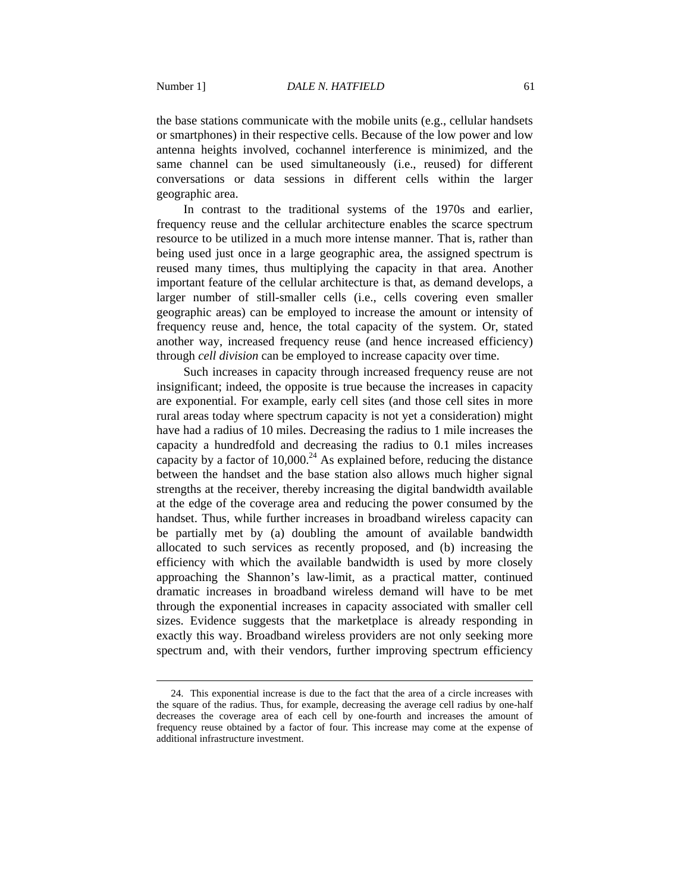the base stations communicate with the mobile units (e.g., cellular handsets or smartphones) in their respective cells. Because of the low power and low antenna heights involved, cochannel interference is minimized, and the same channel can be used simultaneously (i.e., reused) for different conversations or data sessions in different cells within the larger geographic area.

In contrast to the traditional systems of the 1970s and earlier, frequency reuse and the cellular architecture enables the scarce spectrum resource to be utilized in a much more intense manner. That is, rather than being used just once in a large geographic area, the assigned spectrum is reused many times, thus multiplying the capacity in that area. Another important feature of the cellular architecture is that, as demand develops, a larger number of still-smaller cells (i.e., cells covering even smaller geographic areas) can be employed to increase the amount or intensity of frequency reuse and, hence, the total capacity of the system. Or, stated another way, increased frequency reuse (and hence increased efficiency) through *cell division* can be employed to increase capacity over time.

Such increases in capacity through increased frequency reuse are not insignificant; indeed, the opposite is true because the increases in capacity are exponential. For example, early cell sites (and those cell sites in more rural areas today where spectrum capacity is not yet a consideration) might have had a radius of 10 miles. Decreasing the radius to 1 mile increases the capacity a hundredfold and decreasing the radius to 0.1 miles increases capacity by a factor of  $10,000$ <sup>24</sup> As explained before, reducing the distance between the handset and the base station also allows much higher signal strengths at the receiver, thereby increasing the digital bandwidth available at the edge of the coverage area and reducing the power consumed by the handset. Thus, while further increases in broadband wireless capacity can be partially met by (a) doubling the amount of available bandwidth allocated to such services as recently proposed, and (b) increasing the efficiency with which the available bandwidth is used by more closely approaching the Shannon's law-limit, as a practical matter, continued dramatic increases in broadband wireless demand will have to be met through the exponential increases in capacity associated with smaller cell sizes. Evidence suggests that the marketplace is already responding in exactly this way. Broadband wireless providers are not only seeking more spectrum and, with their vendors, further improving spectrum efficiency

 <sup>24.</sup> This exponential increase is due to the fact that the area of a circle increases with the square of the radius. Thus, for example, decreasing the average cell radius by one-half decreases the coverage area of each cell by one-fourth and increases the amount of frequency reuse obtained by a factor of four. This increase may come at the expense of additional infrastructure investment.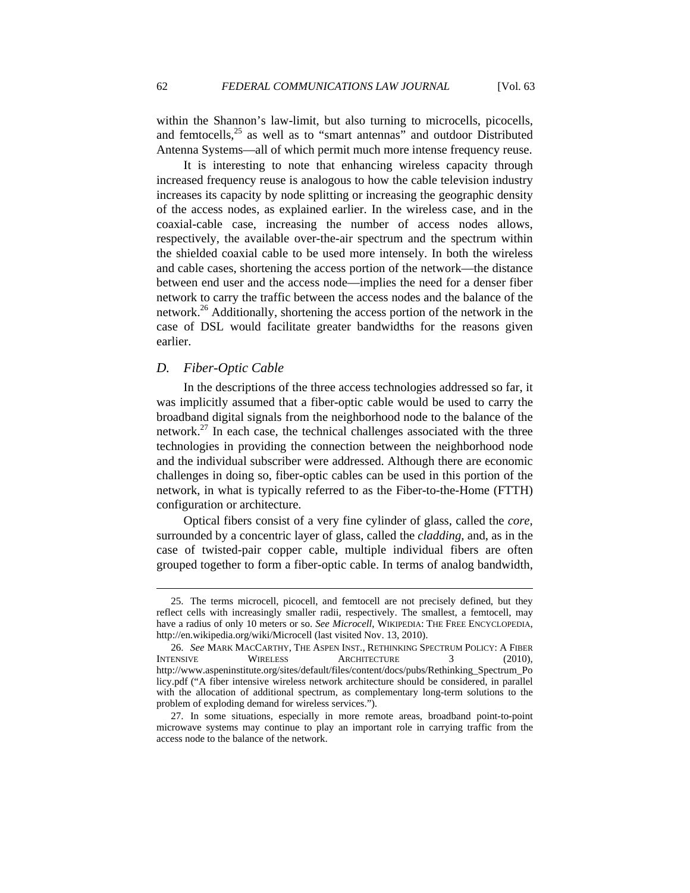within the Shannon's law-limit, but also turning to microcells, picocells, and femtocells, $25$  as well as to "smart antennas" and outdoor Distributed Antenna Systems—all of which permit much more intense frequency reuse.

It is interesting to note that enhancing wireless capacity through increased frequency reuse is analogous to how the cable television industry increases its capacity by node splitting or increasing the geographic density of the access nodes, as explained earlier. In the wireless case, and in the coaxial-cable case, increasing the number of access nodes allows, respectively, the available over-the-air spectrum and the spectrum within the shielded coaxial cable to be used more intensely. In both the wireless and cable cases, shortening the access portion of the network—the distance between end user and the access node—implies the need for a denser fiber network to carry the traffic between the access nodes and the balance of the network.<sup>26</sup> Additionally, shortening the access portion of the network in the case of DSL would facilitate greater bandwidths for the reasons given earlier.

### *D. Fiber-Optic Cable*

 $\overline{a}$ 

In the descriptions of the three access technologies addressed so far, it was implicitly assumed that a fiber-optic cable would be used to carry the broadband digital signals from the neighborhood node to the balance of the network.27 In each case, the technical challenges associated with the three technologies in providing the connection between the neighborhood node and the individual subscriber were addressed. Although there are economic challenges in doing so, fiber-optic cables can be used in this portion of the network, in what is typically referred to as the Fiber-to-the-Home (FTTH) configuration or architecture.

Optical fibers consist of a very fine cylinder of glass, called the *core*, surrounded by a concentric layer of glass, called the *cladding*, and, as in the case of twisted-pair copper cable, multiple individual fibers are often grouped together to form a fiber-optic cable. In terms of analog bandwidth,

 <sup>25.</sup> The terms microcell, picocell, and femtocell are not precisely defined, but they reflect cells with increasingly smaller radii, respectively. The smallest, a femtocell, may have a radius of only 10 meters or so. *See Microcell*, WIKIPEDIA: THE FREE ENCYCLOPEDIA, http://en.wikipedia.org/wiki/Microcell (last visited Nov. 13, 2010).

 <sup>26.</sup> *See* MARK MACCARTHY, THE ASPEN INST., RETHINKING SPECTRUM POLICY: A FIBER INTENSIVE WIRELESS ARCHITECTURE 3 (2010), http://www.aspeninstitute.org/sites/default/files/content/docs/pubs/Rethinking\_Spectrum\_Po licy.pdf ("A fiber intensive wireless network architecture should be considered, in parallel with the allocation of additional spectrum, as complementary long-term solutions to the problem of exploding demand for wireless services.").

 <sup>27.</sup> In some situations, especially in more remote areas, broadband point-to-point microwave systems may continue to play an important role in carrying traffic from the access node to the balance of the network.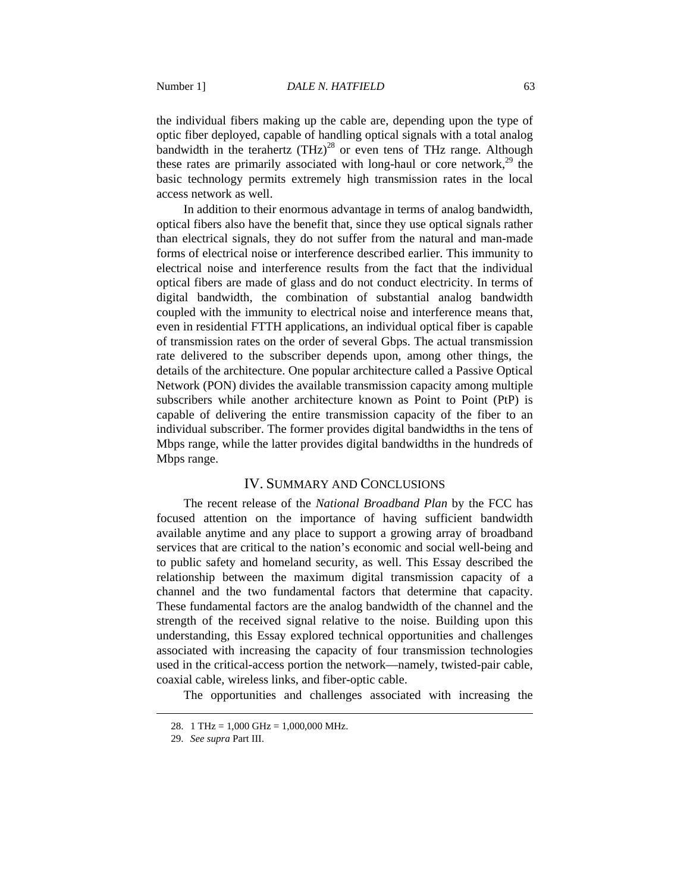the individual fibers making up the cable are, depending upon the type of optic fiber deployed, capable of handling optical signals with a total analog bandwidth in the terahertz  $(THz)^{28}$  or even tens of THz range. Although these rates are primarily associated with long-haul or core network, $29$  the basic technology permits extremely high transmission rates in the local access network as well.

In addition to their enormous advantage in terms of analog bandwidth, optical fibers also have the benefit that, since they use optical signals rather than electrical signals, they do not suffer from the natural and man-made forms of electrical noise or interference described earlier. This immunity to electrical noise and interference results from the fact that the individual optical fibers are made of glass and do not conduct electricity. In terms of digital bandwidth, the combination of substantial analog bandwidth coupled with the immunity to electrical noise and interference means that, even in residential FTTH applications, an individual optical fiber is capable of transmission rates on the order of several Gbps. The actual transmission rate delivered to the subscriber depends upon, among other things, the details of the architecture. One popular architecture called a Passive Optical Network (PON) divides the available transmission capacity among multiple subscribers while another architecture known as Point to Point (PtP) is capable of delivering the entire transmission capacity of the fiber to an individual subscriber. The former provides digital bandwidths in the tens of Mbps range, while the latter provides digital bandwidths in the hundreds of Mbps range.

## IV. SUMMARY AND CONCLUSIONS

The recent release of the *National Broadband Plan* by the FCC has focused attention on the importance of having sufficient bandwidth available anytime and any place to support a growing array of broadband services that are critical to the nation's economic and social well-being and to public safety and homeland security, as well. This Essay described the relationship between the maximum digital transmission capacity of a channel and the two fundamental factors that determine that capacity. These fundamental factors are the analog bandwidth of the channel and the strength of the received signal relative to the noise. Building upon this understanding, this Essay explored technical opportunities and challenges associated with increasing the capacity of four transmission technologies used in the critical-access portion the network—namely, twisted-pair cable, coaxial cable, wireless links, and fiber-optic cable.

The opportunities and challenges associated with increasing the

 <sup>28. 1</sup> THz = 1,000 GHz = 1,000,000 MHz.

 <sup>29.</sup> *See supra* Part III.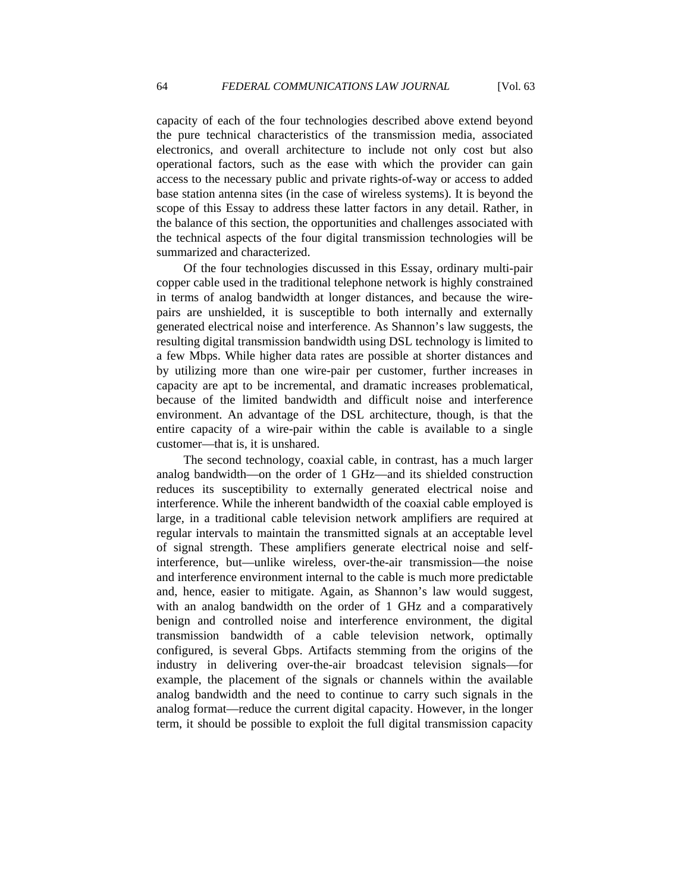capacity of each of the four technologies described above extend beyond the pure technical characteristics of the transmission media, associated electronics, and overall architecture to include not only cost but also operational factors, such as the ease with which the provider can gain access to the necessary public and private rights-of-way or access to added base station antenna sites (in the case of wireless systems). It is beyond the scope of this Essay to address these latter factors in any detail. Rather, in the balance of this section, the opportunities and challenges associated with the technical aspects of the four digital transmission technologies will be summarized and characterized.

Of the four technologies discussed in this Essay, ordinary multi-pair copper cable used in the traditional telephone network is highly constrained in terms of analog bandwidth at longer distances, and because the wirepairs are unshielded, it is susceptible to both internally and externally generated electrical noise and interference. As Shannon's law suggests, the resulting digital transmission bandwidth using DSL technology is limited to a few Mbps. While higher data rates are possible at shorter distances and by utilizing more than one wire-pair per customer, further increases in capacity are apt to be incremental, and dramatic increases problematical, because of the limited bandwidth and difficult noise and interference environment. An advantage of the DSL architecture, though, is that the entire capacity of a wire-pair within the cable is available to a single customer—that is, it is unshared.

The second technology, coaxial cable, in contrast, has a much larger analog bandwidth—on the order of 1 GHz—and its shielded construction reduces its susceptibility to externally generated electrical noise and interference. While the inherent bandwidth of the coaxial cable employed is large, in a traditional cable television network amplifiers are required at regular intervals to maintain the transmitted signals at an acceptable level of signal strength. These amplifiers generate electrical noise and selfinterference, but—unlike wireless, over-the-air transmission—the noise and interference environment internal to the cable is much more predictable and, hence, easier to mitigate. Again, as Shannon's law would suggest, with an analog bandwidth on the order of 1 GHz and a comparatively benign and controlled noise and interference environment, the digital transmission bandwidth of a cable television network, optimally configured, is several Gbps. Artifacts stemming from the origins of the industry in delivering over-the-air broadcast television signals—for example, the placement of the signals or channels within the available analog bandwidth and the need to continue to carry such signals in the analog format—reduce the current digital capacity. However, in the longer term, it should be possible to exploit the full digital transmission capacity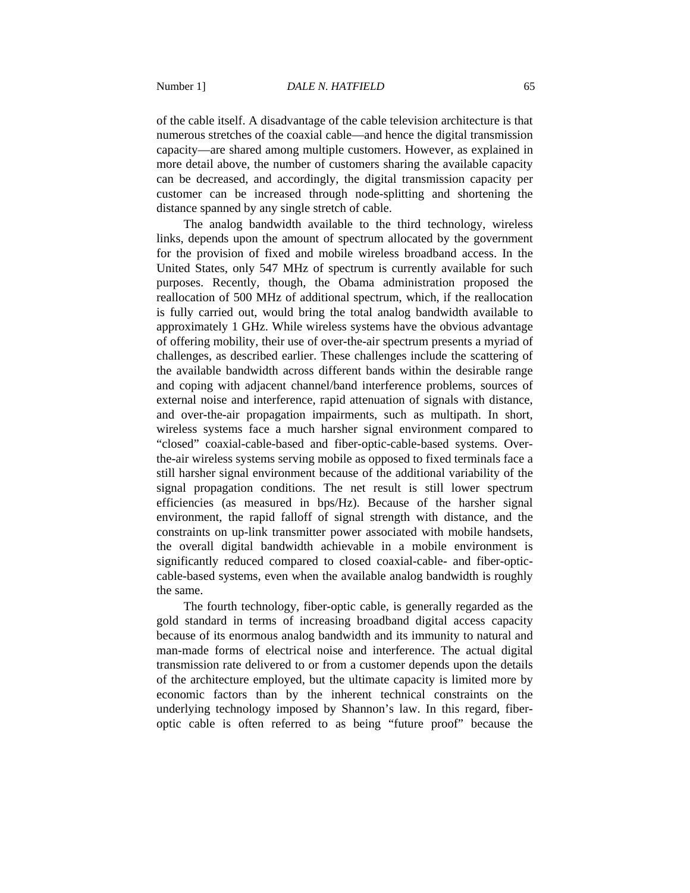of the cable itself. A disadvantage of the cable television architecture is that numerous stretches of the coaxial cable—and hence the digital transmission capacity—are shared among multiple customers. However, as explained in more detail above, the number of customers sharing the available capacity can be decreased, and accordingly, the digital transmission capacity per customer can be increased through node-splitting and shortening the distance spanned by any single stretch of cable.

The analog bandwidth available to the third technology, wireless links, depends upon the amount of spectrum allocated by the government for the provision of fixed and mobile wireless broadband access. In the United States, only 547 MHz of spectrum is currently available for such purposes. Recently, though, the Obama administration proposed the reallocation of 500 MHz of additional spectrum, which, if the reallocation is fully carried out, would bring the total analog bandwidth available to approximately 1 GHz. While wireless systems have the obvious advantage of offering mobility, their use of over-the-air spectrum presents a myriad of challenges, as described earlier. These challenges include the scattering of the available bandwidth across different bands within the desirable range and coping with adjacent channel/band interference problems, sources of external noise and interference, rapid attenuation of signals with distance, and over-the-air propagation impairments, such as multipath. In short, wireless systems face a much harsher signal environment compared to "closed" coaxial-cable-based and fiber-optic-cable-based systems. Overthe-air wireless systems serving mobile as opposed to fixed terminals face a still harsher signal environment because of the additional variability of the signal propagation conditions. The net result is still lower spectrum efficiencies (as measured in bps/Hz). Because of the harsher signal environment, the rapid falloff of signal strength with distance, and the constraints on up-link transmitter power associated with mobile handsets, the overall digital bandwidth achievable in a mobile environment is significantly reduced compared to closed coaxial-cable- and fiber-opticcable-based systems, even when the available analog bandwidth is roughly the same.

The fourth technology, fiber-optic cable, is generally regarded as the gold standard in terms of increasing broadband digital access capacity because of its enormous analog bandwidth and its immunity to natural and man-made forms of electrical noise and interference. The actual digital transmission rate delivered to or from a customer depends upon the details of the architecture employed, but the ultimate capacity is limited more by economic factors than by the inherent technical constraints on the underlying technology imposed by Shannon's law. In this regard, fiberoptic cable is often referred to as being "future proof" because the